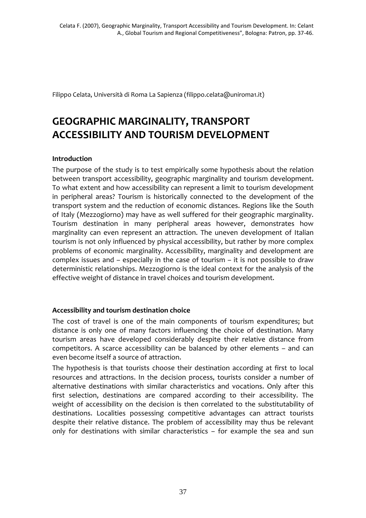Filippo Celata, Università di Roma La Sapienza (filippo.celata@uniroma1.it)

# **GEOGRAPHIC MARGINALITY, TRANSPORT ACCESSIBILITY AND TOURISM DEVELOPMENT**

# **Introduction**

The purpose of the study is to test empirically some hypothesis about the relation between transport accessibility, geographic marginality and tourism development. To what extent and how accessibility can represent a limit to tourism development in peripheral areas? Tourism is historically connected to the development of the transport system and the reduction of economic distances. Regions like the South of Italy (Mezzogiorno) may have as well suffered for their geographic marginality. Tourism destination in many peripheral areas however, demonstrates how marginality can even represent an attraction. The uneven development of Italian tourism is not only influenced by physical accessibility, but rather by more complex problems of economic marginality. Accessibility, marginality and development are complex issues and – especially in the case of tourism – it is not possible to draw deterministic relationships. Mezzogiorno is the ideal context for the analysis of the effective weight of distance in travel choices and tourism development.

# **Accessibility and tourism destination choice**

The cost of travel is one of the main components of tourism expenditures; but distance is only one of many factors influencing the choice of destination. Many tourism areas have developed considerably despite their relative distance from competitors. A scarce accessibility can be balanced by other elements – and can even become itself a source of attraction.

The hypothesis is that tourists choose their destination according at first to local resources and attractions. In the decision process, tourists consider a number of alternative destinations with similar characteristics and vocations. Only after this first selection, destinations are compared according to their accessibility. The weight of accessibility on the decision is then correlated to the substitutability of destinations. Localities possessing competitive advantages can attract tourists despite their relative distance. The problem of accessibility may thus be relevant only for destinations with similar characteristics – for example the sea and sun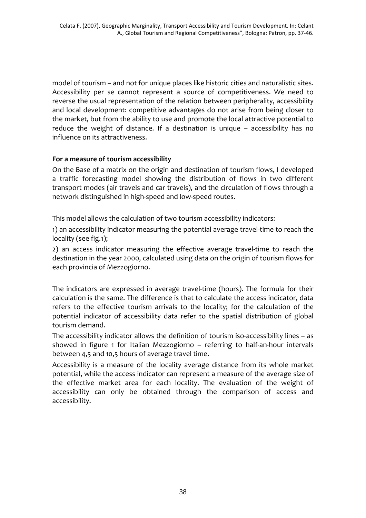model of tourism – and not for unique places like historic cities and naturalistic sites. Accessibility per se cannot represent a source of competitiveness. We need to reverse the usual representation of the relation between peripherality, accessibility and local development: competitive advantages do not arise from being closer to the market, but from the ability to use and promote the local attractive potential to reduce the weight of distance. If a destination is unique – accessibility has no influence on its attractiveness.

## **For a measure of tourism accessibility**

On the Base of a matrix on the origin and destination of tourism flows, I developed a traffic forecasting model showing the distribution of flows in two different transport modes (air travels and car travels), and the circulation of flows through a network distinguished in high‐speed and low‐speed routes.

This model allows the calculation of two tourism accessibility indicators:

1) an accessibility indicator measuring the potential average travel-time to reach the locality (see fig.1);

2) an access indicator measuring the effective average travel-time to reach the destination in the year 2000, calculated using data on the origin of tourism flows for each provincia of Mezzogiorno.

The indicators are expressed in average travel-time (hours). The formula for their calculation is the same. The difference is that to calculate the access indicator, data refers to the effective tourism arrivals to the locality; for the calculation of the potential indicator of accessibility data refer to the spatial distribution of global tourism demand.

The accessibility indicator allows the definition of tourism iso-accessibility lines – as showed in figure 1 for Italian Mezzogiorno - referring to half-an-hour intervals between 4,5 and 10,5 hours of average travel time.

Accessibility is a measure of the locality average distance from its whole market potential, while the access indicator can represent a measure of the average size of the effective market area for each locality. The evaluation of the weight of accessibility can only be obtained through the comparison of access and accessibility.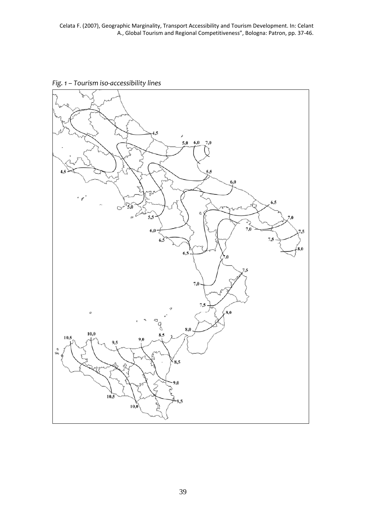Celata F. (2007), Geographic Marginality, Transport Accessibility and Tourism Development. In: Celant A., Global Tourism and Regional Competitiveness", Bologna: Patron, pp. 37‐46.

*Fig. 1 – Tourism iso‐accessibility lines*

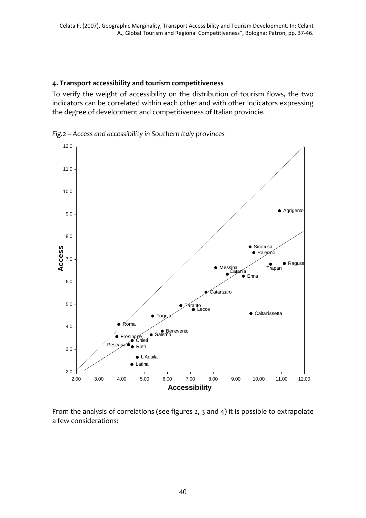#### **4. Transport accessibility and tourism competitiveness**

To verify the weight of accessibility on the distribution of tourism flows, the two indicators can be correlated within each other and with other indicators expressing the degree of development and competitiveness of Italian provincie.



*Fig.2 – Access and accessibility in Southern Italy provinces*

From the analysis of correlations (see figures 2, 3 and 4) it is possible to extrapolate a few considerations: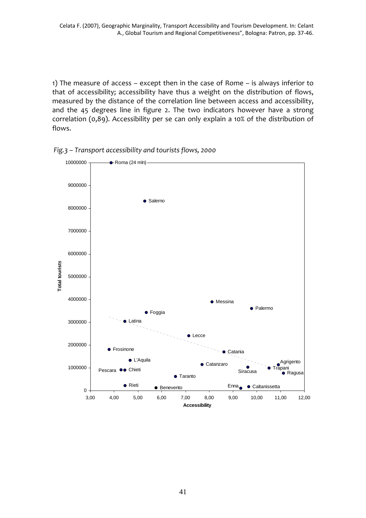1) The measure of access – except then in the case of Rome – is always inferior to that of accessibility; accessibility have thus a weight on the distribution of flows, measured by the distance of the correlation line between access and accessibility, and the 45 degrees line in figure 2. The two indicators however have a strong correlation (0,89). Accessibility per se can only explain a 10% of the distribution of flows.



*Fig.3 – Transport accessibility and tourists flows, 2000*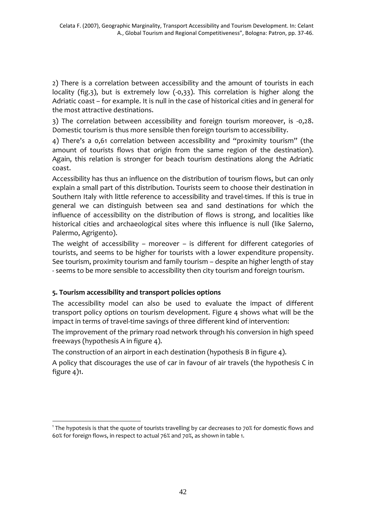2) There is a correlation between accessibility and the amount of tourists in each locality (fig.3), but is extremely low (‐0,33). This correlation is higher along the Adriatic coast – for example. It is null in the case of historical cities and in general for the most attractive destinations.

3) The correlation between accessibility and foreign tourism moreover, is ‐0,28. Domestic tourism is thus more sensible then foreign tourism to accessibility.

4) There's a 0,61 correlation between accessibility and "proximity tourism" (the amount of tourists flows that origin from the same region of the destination). Again, this relation is stronger for beach tourism destinations along the Adriatic coast.

Accessibility has thus an influence on the distribution of tourism flows, but can only explain a small part of this distribution. Tourists seem to choose their destination in Southern Italy with little reference to accessibility and travel-times. If this is true in general we can distinguish between sea and sand destinations for which the influence of accessibility on the distribution of flows is strong, and localities like historical cities and archaeological sites where this influence is null (like Salerno, Palermo, Agrigento).

The weight of accessibility – moreover – is different for different categories of tourists, and seems to be higher for tourists with a lower expenditure propensity. See tourism, proximity tourism and family tourism – despite an higher length of stay ‐ seems to be more sensible to accessibility then city tourism and foreign tourism.

# **5. Tourism accessibility and transport policies options**

<u>.</u>

The accessibility model can also be used to evaluate the impact of different transport policy options on tourism development. Figure 4 shows what will be the impact in terms of travel-time savings of three different kind of intervention:

The improvement of the primary road network through his conversion in high speed freeways (hypothesis A in figure 4).

The construction of an airport in each destination (hypothesis B in figure 4).

A policy that discourages the use of car in favour of air travels (the hypothesis C in figure 4)1.

 $1$  The hypotesis is that the quote of tourists travelling by car decreases to 70% for domestic flows and 60% for foreign flows, in respect to actual 76% and 70%, as shown in table 1.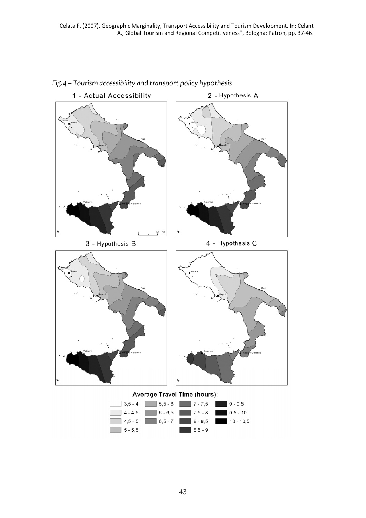

## *Fig.4 – Tourism accessibility and transport policy hypothesis*

43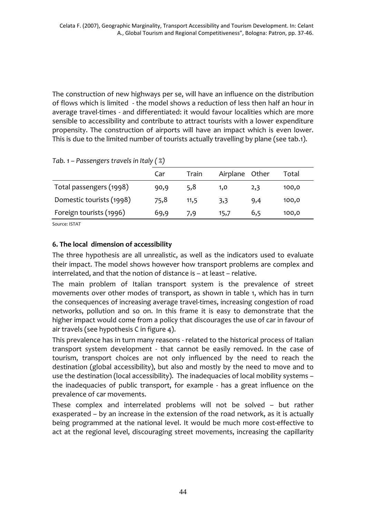The construction of new highways per se, will have an influence on the distribution of flows which is limited ‐ the model shows a reduction of less then half an hour in average travel‐times ‐ and differentiated: it would favour localities which are more sensible to accessibility and contribute to attract tourists with a lower expenditure propensity. The construction of airports will have an impact which is even lower. This is due to the limited number of tourists actually travelling by plane (see tab.1).

|                          | Car  | Train | Airplane Other |     | Total |
|--------------------------|------|-------|----------------|-----|-------|
| Total passengers (1998)  | 90,9 | 5,8   | 1,0            | 2,3 | 100,0 |
| Domestic tourists (1998) | 75,8 | 11,5  | 3,3            | 9,4 | 100,0 |
| Foreign tourists (1996)  | 69,9 | 7,9   | 15,7           | 6,5 | 100,0 |

*Tab. 1 – Passengers travels in Italy ( %)*

Source: ISTAT

# **6. The local dimension of accessibility**

The three hypothesis are all unrealistic, as well as the indicators used to evaluate their impact. The model shows however how transport problems are complex and interrelated, and that the notion of distance is – at least – relative.

The main problem of Italian transport system is the prevalence of street movements over other modes of transport, as shown in table 1, which has in turn the consequences of increasing average travel‐times, increasing congestion of road networks, pollution and so on. In this frame it is easy to demonstrate that the higher impact would come from a policy that discourages the use of car in favour of air travels (see hypothesis C in figure 4).

This prevalence has in turn many reasons ‐ related to the historical process of Italian transport system development - that cannot be easily removed. In the case of tourism, transport choices are not only influenced by the need to reach the destination (global accessibility), but also and mostly by the need to move and to use the destination (local accessibility). The inadequacies of local mobility systems – the inadequacies of public transport, for example ‐ has a great influence on the prevalence of car movements.

These complex and interrelated problems will not be solved – but rather exasperated – by an increase in the extension of the road network, as it is actually being programmed at the national level. It would be much more cost-effective to act at the regional level, discouraging street movements, increasing the capillarity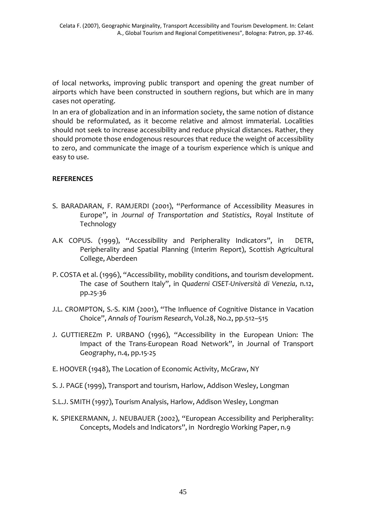of local networks, improving public transport and opening the great number of airports which have been constructed in southern regions, but which are in many cases not operating.

In an era of globalization and in an information society, the same notion of distance should be reformulated, as it become relative and almost immaterial. Localities should not seek to increase accessibility and reduce physical distances. Rather, they should promote those endogenous resources that reduce the weight of accessibility to zero, and communicate the image of a tourism experience which is unique and easy to use.

## **REFERENCES**

- S. BARADARAN, F. RAMJERDI (2001), "Performance of Accessibility Measures in Europe", in *Journal of Transportation and Statistics*, Royal Institute of Technology
- A.K COPUS. (1999), "Accessibility and Peripherality Indicators", in DETR, Peripherality and Spatial Planning (Interim Report), Scottish Agricultural College, Aberdeen
- P. COSTA et al. (1996), "Accessibility, mobility conditions, and tourism development. The case of Southern Italy", in *Quaderni CISET‐Università di Venezia*, n.12, pp.25‐36
- J.L. CROMPTON, S.‐S. KIM (2001), "The Influence of Cognitive Distance in Vacation Choice", *Annals of Tourism Research*, Vol.28, No.2, pp.512–515
- J. GUTTIEREZm P. URBANO (1996), "Accessibility in the European Union: The Impact of the Trans‐European Road Network", in Journal of Transport Geography, n.4, pp.15‐25
- E. HOOVER (1948), The Location of Economic Activity, McGraw, NY
- S. J. PAGE (1999), Transport and tourism, Harlow, Addison Wesley, Longman
- S.L.J. SMITH (1997), Tourism Analysis, Harlow, Addison Wesley, Longman
- K. SPIEKERMANN, J. NEUBAUER (2002), "European Accessibility and Peripherality: Concepts, Models and Indicators", in Nordregio Working Paper, n.9